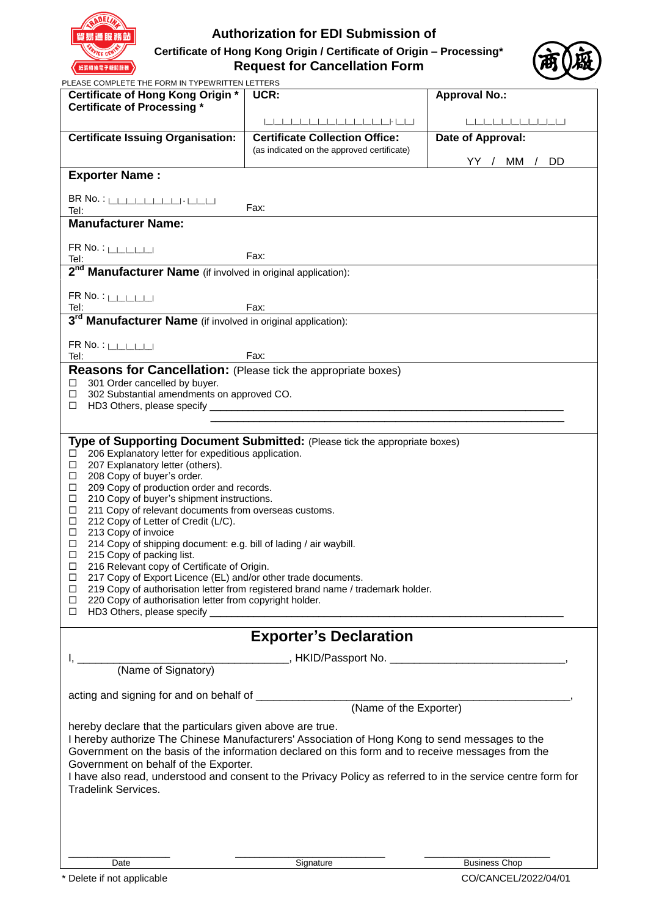

# **Authorization for EDI Submission of**

**Certificate of Hong Kong Origin / Certificate of Origin – Processing\* Request for Cancellation Form**



|  | PLEASE COMPLETE THE FORM IN TYPEWRITTEN LETTERS |
|--|-------------------------------------------------|

| PLEASE COMPLETE THE FORM IN TIPEWRITTEN LETTERS<br>Certificate of Hong Kong Origin *                                                                                                                                           | UCR:                                       | <b>Approval No.:</b> |  |  |  |
|--------------------------------------------------------------------------------------------------------------------------------------------------------------------------------------------------------------------------------|--------------------------------------------|----------------------|--|--|--|
| <b>Certificate of Processing *</b>                                                                                                                                                                                             |                                            |                      |  |  |  |
|                                                                                                                                                                                                                                |                                            |                      |  |  |  |
| <b>Certificate Issuing Organisation:</b>                                                                                                                                                                                       | <b>Certificate Collection Office:</b>      | Date of Approval:    |  |  |  |
|                                                                                                                                                                                                                                | (as indicated on the approved certificate) |                      |  |  |  |
|                                                                                                                                                                                                                                |                                            | YY / MM / DD         |  |  |  |
| <b>Exporter Name:</b>                                                                                                                                                                                                          |                                            |                      |  |  |  |
|                                                                                                                                                                                                                                |                                            |                      |  |  |  |
|                                                                                                                                                                                                                                |                                            |                      |  |  |  |
| Tel:                                                                                                                                                                                                                           | Fax:                                       |                      |  |  |  |
| <b>Manufacturer Name:</b>                                                                                                                                                                                                      |                                            |                      |  |  |  |
| $FR$ No. : $\Box$                                                                                                                                                                                                              |                                            |                      |  |  |  |
|                                                                                                                                                                                                                                |                                            |                      |  |  |  |
| Tel: Tel: $\frac{1}{2^{nd}}$ Manufacturer Name (if involved in original application):                                                                                                                                          |                                            |                      |  |  |  |
|                                                                                                                                                                                                                                |                                            |                      |  |  |  |
| $FR$ No. : $\Box$                                                                                                                                                                                                              | Fax:                                       |                      |  |  |  |
| Tel:<br>3 <sup>rd</sup> Manufacturer Name (if involved in original application):                                                                                                                                               |                                            |                      |  |  |  |
|                                                                                                                                                                                                                                |                                            |                      |  |  |  |
| $FR$ No. : $\Box$                                                                                                                                                                                                              |                                            |                      |  |  |  |
| Tel:                                                                                                                                                                                                                           | Fax:                                       |                      |  |  |  |
| Reasons for Cancellation: (Please tick the appropriate boxes)                                                                                                                                                                  |                                            |                      |  |  |  |
| $\Box$ 301 Order cancelled by buyer.                                                                                                                                                                                           |                                            |                      |  |  |  |
| 302 Substantial amendments on approved CO.<br>$\Box$                                                                                                                                                                           |                                            |                      |  |  |  |
|                                                                                                                                                                                                                                |                                            |                      |  |  |  |
|                                                                                                                                                                                                                                |                                            |                      |  |  |  |
|                                                                                                                                                                                                                                |                                            |                      |  |  |  |
| Type of Supporting Document Submitted: (Please tick the appropriate boxes)<br>206 Explanatory letter for expeditious application.<br>□                                                                                         |                                            |                      |  |  |  |
| 207 Explanatory letter (others).<br>$\Box$                                                                                                                                                                                     |                                            |                      |  |  |  |
| $\Box$<br>208 Copy of buyer's order.                                                                                                                                                                                           |                                            |                      |  |  |  |
| 209 Copy of production order and records.<br>$\Box$                                                                                                                                                                            |                                            |                      |  |  |  |
| 210 Copy of buyer's shipment instructions.<br>□<br>211 Copy of relevant documents from overseas customs.<br>$\Box$                                                                                                             |                                            |                      |  |  |  |
| 212 Copy of Letter of Credit (L/C).<br>$\Box$                                                                                                                                                                                  |                                            |                      |  |  |  |
| $\Box$<br>213 Copy of invoice                                                                                                                                                                                                  |                                            |                      |  |  |  |
| $\Box$<br>214 Copy of shipping document: e.g. bill of lading / air waybill.                                                                                                                                                    |                                            |                      |  |  |  |
|                                                                                                                                                                                                                                | $\Box$<br>215 Copy of packing list.        |                      |  |  |  |
| 216 Relevant copy of Certificate of Origin.<br>□<br>□                                                                                                                                                                          |                                            |                      |  |  |  |
| 217 Copy of Export Licence (EL) and/or other trade documents.<br>219 Copy of authorisation letter from registered brand name / trademark holder.<br>□                                                                          |                                            |                      |  |  |  |
| 220 Copy of authorisation letter from copyright holder.<br>□                                                                                                                                                                   |                                            |                      |  |  |  |
| □                                                                                                                                                                                                                              |                                            |                      |  |  |  |
|                                                                                                                                                                                                                                |                                            |                      |  |  |  |
|                                                                                                                                                                                                                                | <b>Exporter's Declaration</b>              |                      |  |  |  |
| (Name of Signatory) FIKID/Passport No. 2008. All the Signatory of Signatory and Signatory and Signatory and Signatory and Signatory and Signatory and Signatory and Signatory and Signatory and Signatory and Signatory and Si |                                            |                      |  |  |  |
|                                                                                                                                                                                                                                |                                            |                      |  |  |  |
|                                                                                                                                                                                                                                |                                            |                      |  |  |  |
| (Name of the Exporter)                                                                                                                                                                                                         |                                            |                      |  |  |  |
|                                                                                                                                                                                                                                |                                            |                      |  |  |  |
| hereby declare that the particulars given above are true.                                                                                                                                                                      |                                            |                      |  |  |  |
| I hereby authorize The Chinese Manufacturers' Association of Hong Kong to send messages to the                                                                                                                                 |                                            |                      |  |  |  |
| Government on the basis of the information declared on this form and to receive messages from the                                                                                                                              |                                            |                      |  |  |  |
| Government on behalf of the Exporter.                                                                                                                                                                                          |                                            |                      |  |  |  |
| I have also read, understood and consent to the Privacy Policy as referred to in the service centre form for                                                                                                                   |                                            |                      |  |  |  |
| <b>Tradelink Services.</b>                                                                                                                                                                                                     |                                            |                      |  |  |  |
|                                                                                                                                                                                                                                |                                            |                      |  |  |  |
|                                                                                                                                                                                                                                |                                            |                      |  |  |  |
|                                                                                                                                                                                                                                |                                            |                      |  |  |  |
|                                                                                                                                                                                                                                |                                            |                      |  |  |  |
| Date                                                                                                                                                                                                                           | Signature                                  | <b>Business Chop</b> |  |  |  |